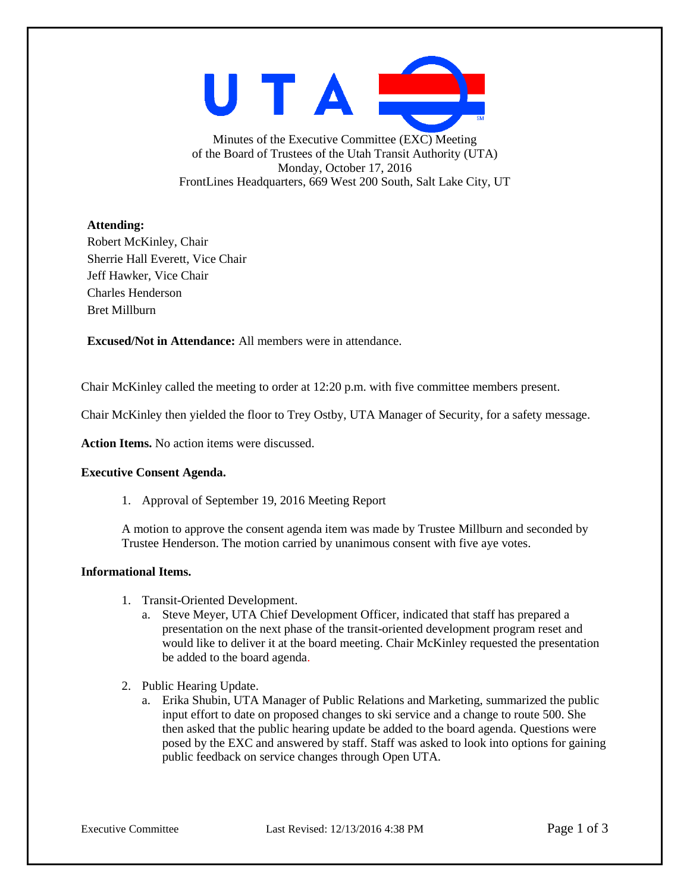UTAI

Minutes of the Executive Committee (EXC) Meeting of the Board of Trustees of the Utah Transit Authority (UTA) Monday, October 17, 2016 FrontLines Headquarters, 669 West 200 South, Salt Lake City, UT

## **Attending:**

Robert McKinley, Chair Sherrie Hall Everett, Vice Chair Jeff Hawker, Vice Chair Charles Henderson Bret Millburn

**Excused/Not in Attendance:** All members were in attendance.

Chair McKinley called the meeting to order at 12:20 p.m. with five committee members present.

Chair McKinley then yielded the floor to Trey Ostby, UTA Manager of Security, for a safety message.

**Action Items.** No action items were discussed.

## **Executive Consent Agenda.**

1. Approval of September 19, 2016 Meeting Report

A motion to approve the consent agenda item was made by Trustee Millburn and seconded by Trustee Henderson. The motion carried by unanimous consent with five aye votes.

## **Informational Items.**

- 1. Transit-Oriented Development.
	- a. Steve Meyer, UTA Chief Development Officer, indicated that staff has prepared a presentation on the next phase of the transit-oriented development program reset and would like to deliver it at the board meeting. Chair McKinley requested the presentation be added to the board agenda.
- 2. Public Hearing Update.
	- a. Erika Shubin, UTA Manager of Public Relations and Marketing, summarized the public input effort to date on proposed changes to ski service and a change to route 500. She then asked that the public hearing update be added to the board agenda. Questions were posed by the EXC and answered by staff. Staff was asked to look into options for gaining public feedback on service changes through Open UTA.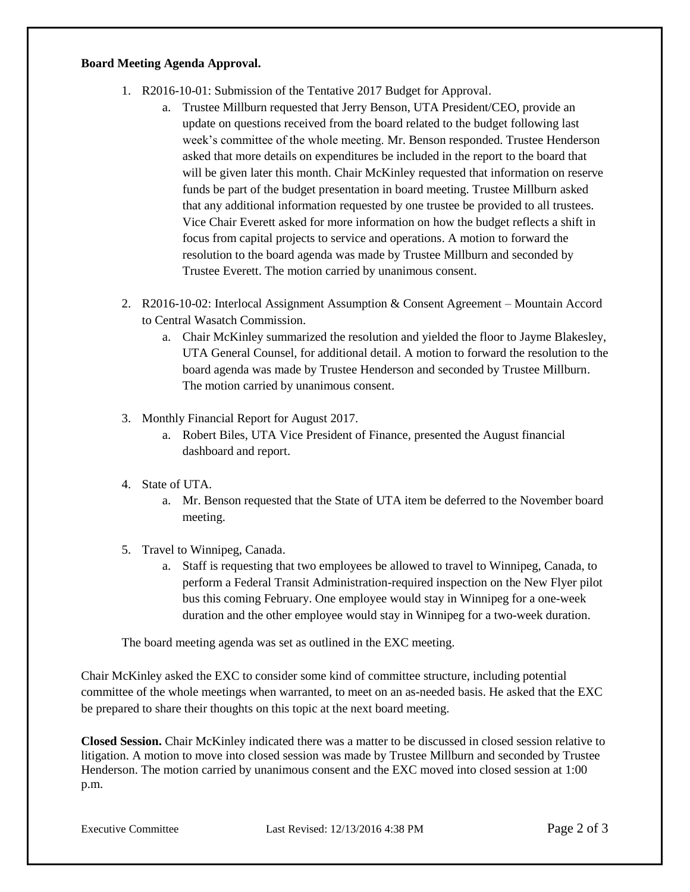## **Board Meeting Agenda Approval.**

- 1. R2016-10-01: Submission of the Tentative 2017 Budget for Approval.
	- a. Trustee Millburn requested that Jerry Benson, UTA President/CEO, provide an update on questions received from the board related to the budget following last week's committee of the whole meeting. Mr. Benson responded. Trustee Henderson asked that more details on expenditures be included in the report to the board that will be given later this month. Chair McKinley requested that information on reserve funds be part of the budget presentation in board meeting. Trustee Millburn asked that any additional information requested by one trustee be provided to all trustees. Vice Chair Everett asked for more information on how the budget reflects a shift in focus from capital projects to service and operations. A motion to forward the resolution to the board agenda was made by Trustee Millburn and seconded by Trustee Everett. The motion carried by unanimous consent.
- 2. R2016-10-02: Interlocal Assignment Assumption & Consent Agreement Mountain Accord to Central Wasatch Commission.
	- a. Chair McKinley summarized the resolution and yielded the floor to Jayme Blakesley, UTA General Counsel, for additional detail. A motion to forward the resolution to the board agenda was made by Trustee Henderson and seconded by Trustee Millburn. The motion carried by unanimous consent.
- 3. Monthly Financial Report for August 2017.
	- a. Robert Biles, UTA Vice President of Finance, presented the August financial dashboard and report.
- 4. State of UTA.
	- a. Mr. Benson requested that the State of UTA item be deferred to the November board meeting.
- 5. Travel to Winnipeg, Canada.
	- a. Staff is requesting that two employees be allowed to travel to Winnipeg, Canada, to perform a Federal Transit Administration-required inspection on the New Flyer pilot bus this coming February. One employee would stay in Winnipeg for a one-week duration and the other employee would stay in Winnipeg for a two-week duration.

The board meeting agenda was set as outlined in the EXC meeting.

Chair McKinley asked the EXC to consider some kind of committee structure, including potential committee of the whole meetings when warranted, to meet on an as-needed basis. He asked that the EXC be prepared to share their thoughts on this topic at the next board meeting.

**Closed Session.** Chair McKinley indicated there was a matter to be discussed in closed session relative to litigation. A motion to move into closed session was made by Trustee Millburn and seconded by Trustee Henderson. The motion carried by unanimous consent and the EXC moved into closed session at 1:00 p.m.